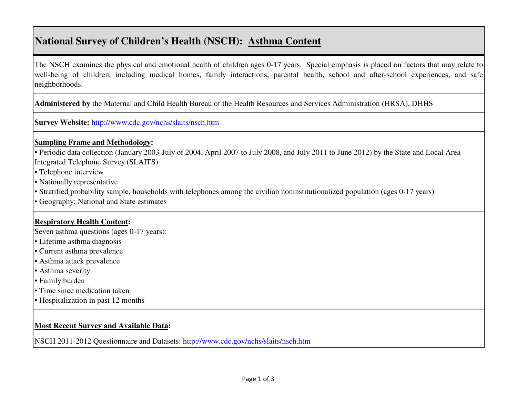# **National Survey of Children's Health (NSCH): Asthma Content**

The NSCH examines the physical and emotional health of children ages 0-17 years. Special emphasis is placed on factors that may relate to well-being of children, including medical homes, family interactions, parental health, school and after-school experiences, and safe neighborhoods.

**Administered by** the Maternal and Child Health Bureau of the Health Resources and Services Administration (HRSA), DHHS

**Survey Website:** http://www.cdc.gov/nchs/slaits/nsch.htm

#### **Sampling Frame and Methodology:**

• Periodic data collection (January 2003-July of 2004, April 2007 to July 2008, and July 2011 to June 2012) by the State and Local Area Integrated Telephone Survey (SLAITS)

- Telephone interview
- Nationally representative
- Stratified probability sample, households with telephones among the civilian noninstitutionalized population (ages 0-17 years)
- Geography: National and State estimates

### **Respiratory Health Content:**

Seven asthma questions (ages 0-17 years):

- Lifetime asthma diagnosis
- Current asthma prevalence
- Asthma attack prevalence
- Asthma severity
- Family burden
- Time since medication taken
- Hospitalization in past 12 months

### **Most Recent Survey and Available Data:**

NSCH 2011-2012 Questionnaire and Datasets: http://www.cdc.gov/nchs/slaits/nsch.htm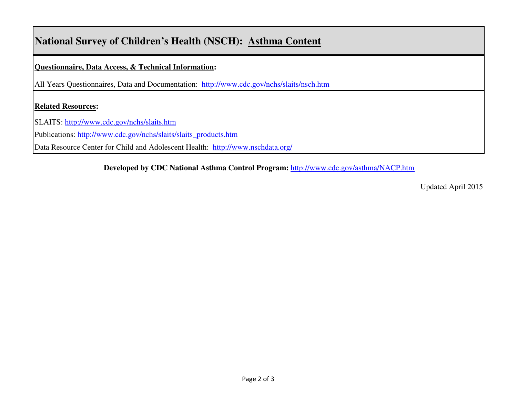# **National Survey of Children's Health (NSCH): Asthma Content**

**Questionnaire, Data Access, & Technical Information:** 

All Years Questionnaires, Data and Documentation: http://www.cdc.gov/nchs/slaits/nsch.htm

### **Related Resources:**

SLAITS: http://www.cdc.gov/nchs/slaits.htm

Publications: http://www.cdc.gov/nchs/slaits/slaits\_products.htm

Data Resource Center for Child and Adolescent Health: http://www.nschdata.org/

**Developed by CDC National Asthma Control Program:** http://www.cdc.gov/asthma/NACP.htm

Updated April 2015